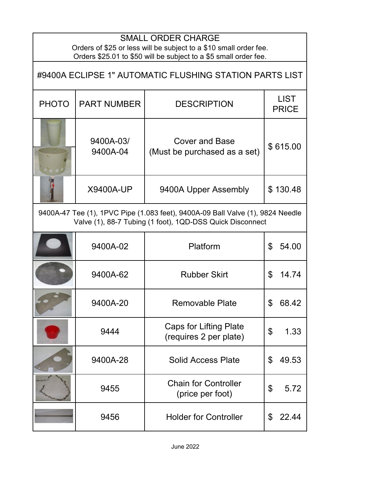| <b>SMALL ORDER CHARGE</b><br>Orders of \$25 or less will be subject to a \$10 small order fee.<br>Orders \$25.01 to \$50 will be subject to a \$5 small order fee. |                       |                                                         |                             |  |  |
|--------------------------------------------------------------------------------------------------------------------------------------------------------------------|-----------------------|---------------------------------------------------------|-----------------------------|--|--|
| #9400A ECLIPSE 1" AUTOMATIC FLUSHING STATION PARTS LIST                                                                                                            |                       |                                                         |                             |  |  |
| <b>PHOTO</b>                                                                                                                                                       | <b>PART NUMBER</b>    | <b>DESCRIPTION</b>                                      | <b>LIST</b><br><b>PRICE</b> |  |  |
|                                                                                                                                                                    | 9400A-03/<br>9400A-04 | <b>Cover and Base</b><br>(Must be purchased as a set)   | \$615.00                    |  |  |
|                                                                                                                                                                    | <b>X9400A-UP</b>      | 9400A Upper Assembly                                    | \$130.48                    |  |  |
| 9400A-47 Tee (1), 1PVC Pipe (1.083 feet), 9400A-09 Ball Valve (1), 9824 Needle<br>Valve (1), 88-7 Tubing (1 foot), 1QD-DSS Quick Disconnect                        |                       |                                                         |                             |  |  |
|                                                                                                                                                                    | 9400A-02              | Platform                                                | \$<br>54.00                 |  |  |
|                                                                                                                                                                    | 9400A-62              | <b>Rubber Skirt</b>                                     | \$<br>14.74                 |  |  |
|                                                                                                                                                                    | 9400A-20              | <b>Removable Plate</b>                                  | \$<br>08.4Z                 |  |  |
|                                                                                                                                                                    | 9444                  | <b>Caps for Lifting Plate</b><br>(requires 2 per plate) | \$<br>1.33                  |  |  |
|                                                                                                                                                                    | 9400A-28              | <b>Solid Access Plate</b>                               | \$<br>49.53                 |  |  |
|                                                                                                                                                                    | 9455                  | <b>Chain for Controller</b><br>(price per foot)         | \$<br>5.72                  |  |  |
|                                                                                                                                                                    | 9456                  | <b>Holder for Controller</b>                            | \$<br>22.44                 |  |  |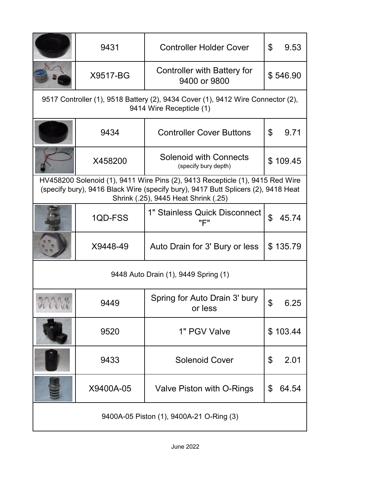|                                                                                                                                                                                                            | 9431      | <b>Controller Holder Cover</b>                        | \$<br>9.53              |  |
|------------------------------------------------------------------------------------------------------------------------------------------------------------------------------------------------------------|-----------|-------------------------------------------------------|-------------------------|--|
|                                                                                                                                                                                                            | X9517-BG  | <b>Controller with Battery for</b><br>9400 or 9800    | \$546.90                |  |
| 9517 Controller (1), 9518 Battery (2), 9434 Cover (1), 9412 Wire Connector (2),<br>9414 Wire Recepticle (1)                                                                                                |           |                                                       |                         |  |
|                                                                                                                                                                                                            | 9434      | <b>Controller Cover Buttons</b>                       | $\mathfrak{L}$<br>9.71  |  |
|                                                                                                                                                                                                            | X458200   | <b>Solenoid with Connects</b><br>(specify bury depth) | \$109.45                |  |
| HV458200 Solenoid (1), 9411 Wire Pins (2), 9413 Recepticle (1), 9415 Red Wire<br>(specify bury), 9416 Black Wire (specify bury), 9417 Butt Splicers (2), 9418 Heat<br>Shrink (.25), 9445 Heat Shrink (.25) |           |                                                       |                         |  |
|                                                                                                                                                                                                            | 1QD-FSS   | 1" Stainless Quick Disconnect<br>"F"                  | $\mathfrak{L}$<br>45.74 |  |
|                                                                                                                                                                                                            | X9448-49  | Auto Drain for 3' Bury or less                        | \$135.79                |  |
| 9448 Auto Drain (1), 9449 Spring (1)                                                                                                                                                                       |           |                                                       |                         |  |
| LEVE                                                                                                                                                                                                       | 9449      | Spring for Auto Drain 3' bury<br>or less              | 6.25                    |  |
|                                                                                                                                                                                                            | 9520      | 1" PGV Valve                                          | \$103.44                |  |
|                                                                                                                                                                                                            | 9433      | <b>Solenoid Cover</b>                                 | 2.01<br>\$              |  |
|                                                                                                                                                                                                            | X9400A-05 | Valve Piston with O-Rings                             | 64.54<br>\$             |  |
| 9400A-05 Piston (1), 9400A-21 O-Ring (3)                                                                                                                                                                   |           |                                                       |                         |  |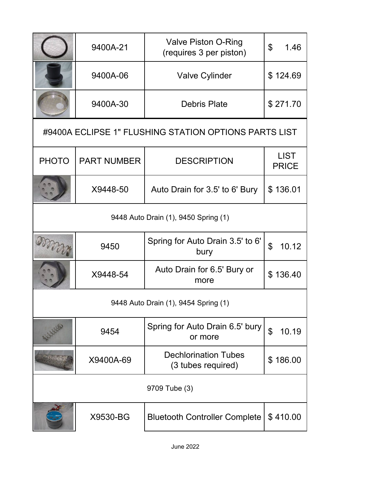|                                                       | 9400A-21           | <b>Valve Piston O-Ring</b><br>(requires 3 per piston) | \$<br>1.46                  |  |
|-------------------------------------------------------|--------------------|-------------------------------------------------------|-----------------------------|--|
|                                                       | 9400A-06           | <b>Valve Cylinder</b>                                 | \$124.69                    |  |
|                                                       | 9400A-30           | <b>Debris Plate</b>                                   | \$271.70                    |  |
| #9400A ECLIPSE 1" FLUSHING STATION OPTIONS PARTS LIST |                    |                                                       |                             |  |
| <b>PHOTO</b>                                          | <b>PART NUMBER</b> | <b>DESCRIPTION</b>                                    | <b>LIST</b><br><b>PRICE</b> |  |
|                                                       | X9448-50           | Auto Drain for 3.5' to 6' Bury                        | \$136.01                    |  |
| 9448 Auto Drain (1), 9450 Spring (1)                  |                    |                                                       |                             |  |
|                                                       | 9450               | Spring for Auto Drain 3.5' to 6'<br>bury              | \$<br>10.12                 |  |
|                                                       | X9448-54           | Auto Drain for 6.5' Bury or<br>more                   | \$136.40                    |  |
| 9448 Auto Drain (1), 9454 Spring (1)                  |                    |                                                       |                             |  |
|                                                       | 9454               | Spring for Auto Drain 6.5' bury<br>or more            | $\mathfrak{P}$<br>10.19     |  |
|                                                       | X9400A-69          | <b>Dechlorination Tubes</b><br>(3 tubes required)     | \$186.00                    |  |
| 9709 Tube (3)                                         |                    |                                                       |                             |  |
|                                                       | X9530-BG           | <b>Bluetooth Controller Complete</b>                  | \$410.00                    |  |